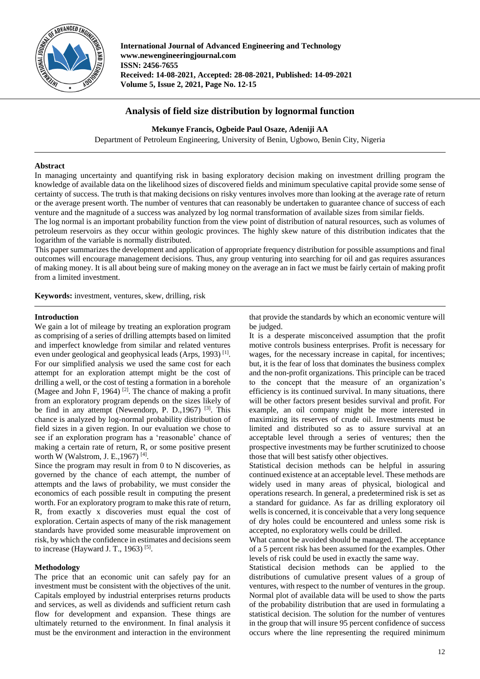

**International Journal of Advanced Engineering and Technology www.newengineeringjournal.com ISSN: 2456-7655 Received: 14-08-2021, Accepted: 28-08-2021, Published: 14-09-2021 Volume 5, Issue 2, 2021, Page No. 12-15**

# **Analysis of field size distribution by lognormal function**

## **Mekunye Francis, Ogbeide Paul Osaze, Adeniji AA**

Department of Petroleum Engineering, University of Benin, Ugbowo, Benin City, Nigeria

## **Abstract**

In managing uncertainty and quantifying risk in basing exploratory decision making on investment drilling program the knowledge of available data on the likelihood sizes of discovered fields and minimum speculative capital provide some sense of certainty of success. The truth is that making decisions on risky ventures involves more than looking at the average rate of return or the average present worth. The number of ventures that can reasonably be undertaken to guarantee chance of success of each venture and the magnitude of a success was analyzed by log normal transformation of available sizes from similar fields.

The log normal is an important probability function from the view point of distribution of natural resources, such as volumes of petroleum reservoirs as they occur within geologic provinces. The highly skew nature of this distribution indicates that the logarithm of the variable is normally distributed.

This paper summarizes the development and application of appropriate frequency distribution for possible assumptions and final outcomes will encourage management decisions. Thus, any group venturing into searching for oil and gas requires assurances of making money. It is all about being sure of making money on the average an in fact we must be fairly certain of making profit from a limited investment.

**Keywords:** investment, ventures, skew, drilling, risk

## **Introduction**

We gain a lot of mileage by treating an exploration program as comprising of a series of drilling attempts based on limited and imperfect knowledge from similar and related ventures even under geological and geophysical leads (Arps, 1993)<sup>[1]</sup>. For our simplified analysis we used the same cost for each attempt for an exploration attempt might be the cost of drilling a well, or the cost of testing a formation in a borehole (Magee and John F, 1964)<sup>[2]</sup>. The chance of making a profit from an exploratory program depends on the sizes likely of be find in any attempt (Newendorp, P. D., 1967)<sup>[3]</sup>. This chance is analyzed by log-normal probability distribution of field sizes in a given region. In our evaluation we chose to see if an exploration program has a 'reasonable' chance of making a certain rate of return, R, or some positive present worth W (Walstrom, J. E., 1967)<sup>[4]</sup>.

Since the program may result in from 0 to N discoveries, as governed by the chance of each attempt, the number of attempts and the laws of probability, we must consider the economics of each possible result in computing the present worth. For an exploratory program to make this rate of return, R, from exactly x discoveries must equal the cost of exploration. Certain aspects of many of the risk management standards have provided some measurable improvement on risk, by which the confidence in estimates and decisions seem to increase (Hayward J. T., 1963)<sup>[5]</sup>.

## **Methodology**

The price that an economic unit can safely pay for an investment must be consistent with the objectives of the unit. Capitals employed by industrial enterprises returns products and services, as well as dividends and sufficient return cash flow for development and expansion. These things are ultimately returned to the environment. In final analysis it must be the environment and interaction in the environment that provide the standards by which an economic venture will be judged.

It is a desperate misconceived assumption that the profit motive controls business enterprises. Profit is necessary for wages, for the necessary increase in capital, for incentives; but, it is the fear of loss that dominates the business complex and the non-profit organizations. This principle can be traced to the concept that the measure of an organization's efficiency is its continued survival. In many situations, there will be other factors present besides survival and profit. For example, an oil company might be more interested in maximizing its reserves of crude oil. Investments must be limited and distributed so as to assure survival at an acceptable level through a series of ventures; then the prospective investments may be further scrutinized to choose those that will best satisfy other objectives.

Statistical decision methods can be helpful in assuring continued existence at an acceptable level. These methods are widely used in many areas of physical, biological and operations research. In general, a predetermined risk is set as a standard for guidance. As far as drilling exploratory oil wells is concerned, it is conceivable that a very long sequence of dry holes could be encountered and unless some risk is accepted, no exploratory wells could be drilled.

What cannot be avoided should be managed. The acceptance of a 5 percent risk has been assumed for the examples. Other levels of risk could be used in exactly the same way.

Statistical decision methods can be applied to the distributions of cumulative present values of a group of ventures, with respect to the number of ventures in the group. Normal plot of available data will be used to show the parts of the probability distribution that are used in formulating a statistical decision. The solution for the number of ventures in the group that will insure 95 percent confidence of success occurs where the line representing the required minimum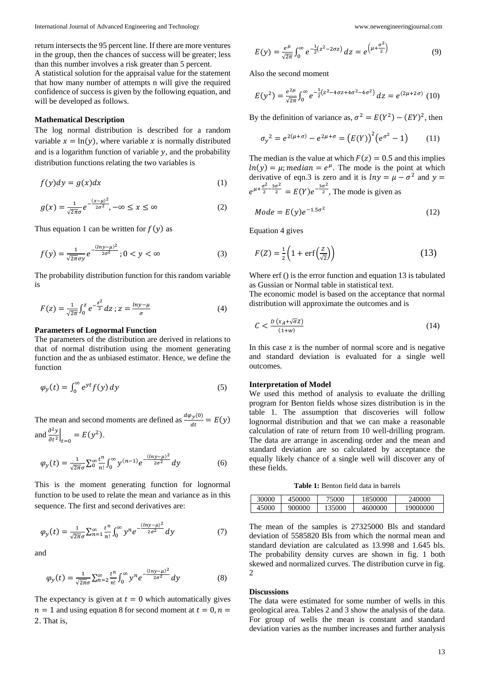return intersects the 95 percent line. If there are more ventures in the group, then the chances of success will be greater; less than this number involves a risk greater than 5 percent.

A statistical solution for the appraisal value for the statement that how many number of attempts n will give the required confidence of success is given by the following equation, and will be developed as follows.

#### **Mathematical Description**

The log normal distribution is described for a random variable  $x = \ln(y)$ , where variable x is normally distributed and is a logarithm function of variable  $y$ , and the probability distribution functions relating the two variables is

$$
f(y)dy = g(x)dx
$$
 (1)

$$
g(x) = \frac{1}{\sqrt{2\pi}\sigma} e^{-\frac{(x-\mu)^2}{2\sigma^2}}, -\infty \le x \le \infty
$$
 (2)

Thus equation 1 can be written for  $f(y)$  as

$$
f(y) = \frac{1}{\sqrt{2\pi}\sigma y} e^{-\frac{(\ln y - \mu)^2}{2\sigma^2}}; 0 < y < \infty \tag{3}
$$

The probability distribution function for this random variable is

$$
F(z) = \frac{1}{\sqrt{2\pi}} \int_0^z e^{-\frac{z^2}{2}} dz \; ; z = \frac{\ln y - \mu}{\sigma} \tag{4}
$$

### **Parameters of Lognormal Function**

The parameters of the distribution are derived in relations to that of normal distribution using the moment generating function and the as unbiased estimator. Hence, we define the function

$$
\varphi_y(t) = \int_0^\infty e^{yt} f(y) \, dy \tag{5}
$$

The mean and second moments are defined as  $\frac{d\varphi_y(0)}{dt} = E(y)$ and  $\frac{\partial^2 y}{\partial x^2}$  $\left. \frac{\partial^2 y}{\partial t^2} \right|_{t=0} = E(y^2).$ 

$$
\varphi_{y}(t) = \frac{1}{\sqrt{2\pi}\sigma} \sum_{n=0}^{\infty} \frac{t^{n}}{n!} \int_{0}^{\infty} y^{(n-1)} e^{-\frac{(\ln y - \mu)^{2}}{2\sigma^{2}}} dy
$$
(6)

This is the moment generating function for lognormal function to be used to relate the mean and variance as in this sequence. The first and second derivatives are:

$$
\varphi_{\mathcal{Y}}(t) = \frac{1}{\sqrt{2\pi}\sigma} \sum_{n=1}^{\infty} \frac{t^n}{n!} \int_0^{\infty} y^n e^{-\frac{(\ln y - \mu)^2}{2\sigma^2}} dy \tag{7}
$$

and

$$
\varphi_y(t) = \frac{1}{\sqrt{2\pi}\sigma} \sum_{n=2}^{\infty} \frac{t^n}{n!} \int_0^{\infty} y^n e^{-\frac{(\ln y - \mu)^2}{2\sigma^2}} dy \tag{8}
$$

The expectancy is given at  $t = 0$  which automatically gives  $n = 1$  and using equation 8 for second moment at  $t = 0, n = 1$ 2. That is,

$$
E(y) = \frac{e^{\mu}}{\sqrt{2\pi}} \int_0^{\infty} e^{-\frac{1}{2}(z^2 - 2\sigma z)} dz = e^{\left(\mu + \frac{\sigma^2}{2}\right)}
$$
(9)

Also the second moment

$$
E(y^2) = \frac{e^{2\mu}}{\sqrt{2\pi}} \int_0^{\infty} e^{-\frac{1}{2}(z^2 - 4\sigma z + 4\sigma^2 - 4\sigma^2)} dz = e^{(2\mu + 2\sigma)} (10)
$$

By the definition of variance as,  $\sigma^2 = E(Y^2) - (EY)^2$ , then

$$
\sigma_y^2 = e^{2(\mu + \sigma)} - e^{2\mu + \sigma} = (E(Y))^2 (e^{\sigma^2} - 1) \tag{11}
$$

The median is the value at which  $F(z) = 0.5$  and this implies  $ln(y) = \mu$ ; median =  $e^{\mu}$ . The mode is the point at which derivative of eqn.3 is zero and it is  $ln y = \mu - \sigma^2$  and  $y =$  $e^{\mu+\frac{\sigma^2}{2}}$  $\frac{\sigma^2}{2} - \frac{3\sigma^2}{2} = E(Y)e^{-\frac{3\sigma^2}{2}}$ , The mode is given as

$$
Mode = E(y)e^{-1.5\sigma^2}
$$
 (12)

Equation 4 gives

$$
F(Z) = \frac{1}{2} \left( 1 + \text{erf}\left(\frac{Z}{\sqrt{2}}\right) \right) \tag{13}
$$

Where erf () is the error function and equation 13 is tabulated as Gussian or Normal table in statistical text.

The economic model is based on the acceptance that normal distribution will approximate the outcomes and is

$$
C < \frac{D\left(x_A + \sqrt{\sigma}Z\right)}{(1+w)}\tag{14}
$$

In this case z is the number of normal score and is negative and standard deviation is evaluated for a single well outcomes.

### **Interpretation of Model**

We used this method of analysis to evaluate the drilling program for Benton fields whose sizes distribution is in the table 1. The assumption that discoveries will follow lognormal distribution and that we can make a reasonable calculation of rate of return from 10 well-drilling program. The data are arrange in ascending order and the mean and standard deviation are so calculated by acceptance the equally likely chance of a single well will discover any of these fields.

**Table 1:** Benton field data in barrels

| 30000 | 450000 | 75000  | 1850000 | 240000   |
|-------|--------|--------|---------|----------|
| 45000 | 900000 | 135000 | 4600000 | 19000000 |

The mean of the samples is 27325000 Bls and standard deviation of 5585820 Bls from which the normal mean and standard deviation are calculated as 13.998 and 1.645 bls. The probability density curves are shown in fig. 1 both skewed and normalized curves. The distribution curve in fig. 2

#### **Discussions**

The data were estimated for some number of wells in this geological area. Tables 2 and 3 show the analysis of the data. For group of wells the mean is constant and standard deviation varies as the number increases and further analysis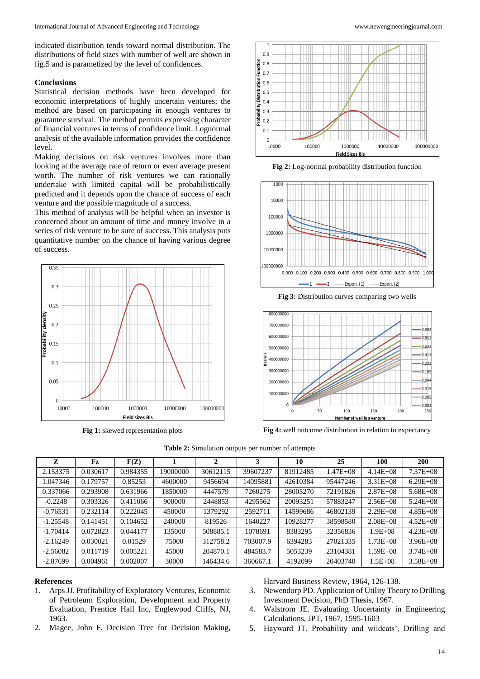indicated distribution tends toward normal distribution. The distributions of field sizes with number of well are shown in fig.5 and is parametized by the level of confidences.

### **Conclusions**

Statistical decision methods have been developed for economic interpretations of highly uncertain ventures; the method are based on participating in enough ventures to guarantee survival. The method permits expressing character of financial ventures in terms of confidence limit. Lognormal analysis of the available information provides the confidence level.

Making decisions on risk ventures involves more than looking at the average rate of return or even average present worth. The number of risk ventures we can rationally undertake with limited capital will be probabilistically predicted and it depends upon the chance of success of each venture and the possible magnitude of a success.

This method of analysis will be helpful when an investor is concerned about an amount of time and money involve in a series of risk venture to be sure of success. This analysis puts quantitative number on the chance of having various degree of success.



**Fig 1:** skewed representation plots



**Fig 2:** Log-normal probability distribution function



**Fig 3:** Distribution curves comparing two wells



**Fig 4:** well outcome distribution in relation to expectancy

#### **Table 2:** Simulation outputs per number of attempts

| z          | Fz       | F(Z)     |          | 2        | 3        | 10       | 25           | 100           | <b>200</b>    |
|------------|----------|----------|----------|----------|----------|----------|--------------|---------------|---------------|
| 2.153375   | 0.030617 | 0.984355 | 19000000 | 30612115 | 39607237 | 81912485 | $1.47E + 08$ | $4.14E + 08$  | $7.37E + 08$  |
| .047346    | 0.179757 | 0.85253  | 4600000  | 9456694  | 14095881 | 42610384 | 95447246     | $3.31E + 08$  | $6.29E + 08$  |
| 0.337066   | 0.293908 | 0.631966 | 1850000  | 4447579  | 7260275  | 28005270 | 72191826     | $2.87E + 0.8$ | $5.68E + 08$  |
| $-0.2248$  | 0.303326 | 0.411066 | 900000   | 2448853  | 4295562  | 20093251 | 57883247     | $2.56E + 08$  | $5.24E + 08$  |
| $-0.76531$ | 0.232114 | 0.222045 | 450000   | 1379292  | 2592711  | 14599686 | 46802139     | $2.29E + 08$  | $4.85E + 0.8$ |
| $-1.25548$ | 0.141451 | 0.104652 | 240000   | 819526   | 1640227  | 10928277 | 38598580     | $2.08E + 08$  | $4.52E + 08$  |
| $-1.70414$ | 0.072823 | 0.044177 | 135000   | 508885.1 | 1078691  | 8383295  | 32356836     | $1.9E + 08$   | $4.23E + 08$  |
| $-2.16249$ | 0.030021 | 0.01529  | 75000    | 312758.2 | 703007.9 | 6394283  | 27021335     | $1.73E + 08$  | $3.96E + 08$  |
| $-2.56082$ | 0.011719 | 0.005221 | 45000    | 204870.1 | 484583.7 | 5053239  | 23104381     | $1.59E + 08$  | $3.74E + 08$  |
| $-2.87699$ | 0.004961 | 0.002007 | 30000    | 146434.6 | 360667.1 | 4192099  | 20403740     | 1.5E+08       | $3.58E + 08$  |

### **References**

- 1. Arps JJ. Profitability of Exploratory Ventures, Economic of Petroleum Exploration, Development and Property Evaluation, Prentice Hall Inc, Englewood Cliffs, NJ, 1963.
- 2. Magee, John F. Decision Tree for Decision Making,

Harvard Business Review, 1964, 126-138.

- 3. Newendorp PD. Application of Utility Theory to Drilling Investment Decision, PhD Thesis, 1967.
- 4. Walstrom JE. Evaluating Uncertainty in Engineering Calculations, JPT, 1967, 1595-1603
- 5. Hayward JT. Probability and wildcats', Drilling and